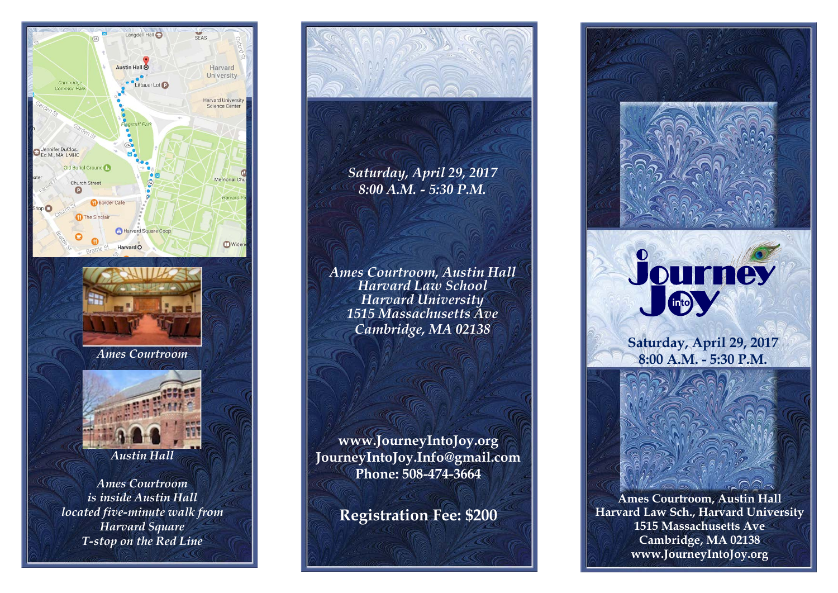

*T-stop on the Red Line*



*Saturday, April 29, 2017 8:00 A.M. - 5:30 P.M.*

*Ames Courtroom, Austin Hall Harvard Law School Harvard University 1515 Massachusetts Ave Cambridge, MA 02138*

**www.JourneyIntoJoy.org JourneyIntoJoy.Info@gmail.com Phone: 508-474-3664**

**Registration Fee: \$200**



**Ames Courtroom, Austin Hall Harvard Law Sch., Harvard University 1515 Massachusetts Ave Cambridge, MA 02138 www.JourneyIntoJoy.org**